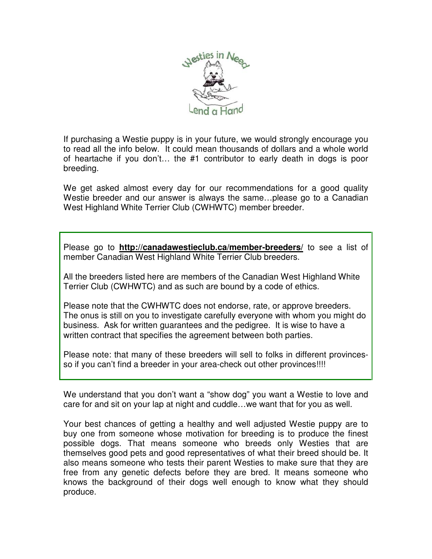

If purchasing a Westie puppy is in your future, we would strongly encourage you to read all the info below. It could mean thousands of dollars and a whole world of heartache if you don't… the #1 contributor to early death in dogs is poor breeding.

We get asked almost every day for our recommendations for a good quality Westie breeder and our answer is always the same…please go to a Canadian West Highland White Terrier Club (CWHWTC) member breeder.

Please go to **http://canadawestieclub.ca/member-breeders/** to see a list of member Canadian West Highland White Terrier Club breeders.

All the breeders listed here are members of the Canadian West Highland White Terrier Club (CWHWTC) and as such are bound by a code of ethics.

Please note that the CWHWTC does not endorse, rate, or approve breeders. The onus is still on you to investigate carefully everyone with whom you might do business. Ask for written guarantees and the pedigree. It is wise to have a written contract that specifies the agreement between both parties.

Please note: that many of these breeders will sell to folks in different provincesso if you can't find a breeder in your area-check out other provinces!!!!

We understand that you don't want a "show dog" you want a Westie to love and care for and sit on your lap at night and cuddle…we want that for you as well.

Your best chances of getting a healthy and well adjusted Westie puppy are to buy one from someone whose motivation for breeding is to produce the finest possible dogs. That means someone who breeds only Westies that are themselves good pets and good representatives of what their breed should be. It also means someone who tests their parent Westies to make sure that they are free from any genetic defects before they are bred. It means someone who knows the background of their dogs well enough to know what they should produce.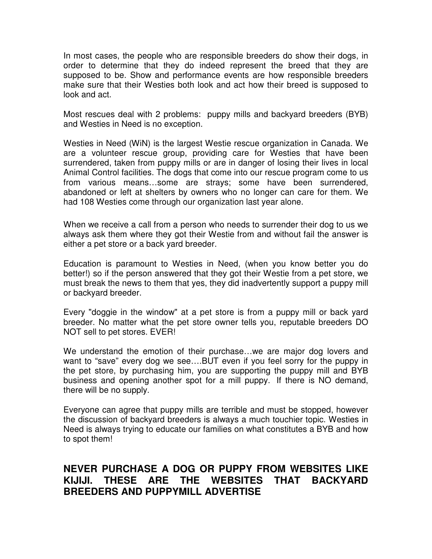In most cases, the people who are responsible breeders do show their dogs, in order to determine that they do indeed represent the breed that they are supposed to be. Show and performance events are how responsible breeders make sure that their Westies both look and act how their breed is supposed to look and act.

Most rescues deal with 2 problems: puppy mills and backyard breeders (BYB) and Westies in Need is no exception.

Westies in Need (WiN) is the largest Westie rescue organization in Canada. We are a volunteer rescue group, providing care for Westies that have been surrendered, taken from puppy mills or are in danger of losing their lives in local Animal Control facilities. The dogs that come into our rescue program come to us from various means…some are strays; some have been surrendered, abandoned or left at shelters by owners who no longer can care for them. We had 108 Westies come through our organization last year alone.

When we receive a call from a person who needs to surrender their dog to us we always ask them where they got their Westie from and without fail the answer is either a pet store or a back yard breeder.

Education is paramount to Westies in Need, (when you know better you do better!) so if the person answered that they got their Westie from a pet store, we must break the news to them that yes, they did inadvertently support a puppy mill or backyard breeder.

Every "doggie in the window" at a pet store is from a puppy mill or back yard breeder. No matter what the pet store owner tells you, reputable breeders DO NOT sell to pet stores. EVER!

We understand the emotion of their purchase…we are major dog lovers and want to "save" every dog we see….BUT even if you feel sorry for the puppy in the pet store, by purchasing him, you are supporting the puppy mill and BYB business and opening another spot for a mill puppy. If there is NO demand, there will be no supply.

Everyone can agree that puppy mills are terrible and must be stopped, however the discussion of backyard breeders is always a much touchier topic. Westies in Need is always trying to educate our families on what constitutes a BYB and how to spot them!

## **NEVER PURCHASE A DOG OR PUPPY FROM WEBSITES LIKE KIJIJI. THESE ARE THE WEBSITES THAT BACKYARD BREEDERS AND PUPPYMILL ADVERTISE**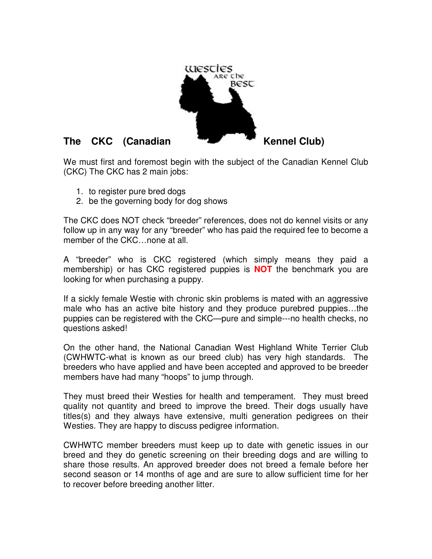

We must first and foremost begin with the subject of the Canadian Kennel Club (CKC) The CKC has 2 main jobs:

- 1. to register pure bred dogs
- 2. be the governing body for dog shows

The CKC does NOT check "breeder" references, does not do kennel visits or any follow up in any way for any "breeder" who has paid the required fee to become a member of the CKC…none at all.

A "breeder" who is CKC registered (which simply means they paid a membership) or has CKC registered puppies is **NOT** the benchmark you are looking for when purchasing a puppy.

If a sickly female Westie with chronic skin problems is mated with an aggressive male who has an active bite history and they produce purebred puppies…the puppies can be registered with the CKC—pure and simple---no health checks, no questions asked!

On the other hand, the National Canadian West Highland White Terrier Club (CWHWTC-what is known as our breed club) has very high standards. The breeders who have applied and have been accepted and approved to be breeder members have had many "hoops" to jump through.

They must breed their Westies for health and temperament. They must breed quality not quantity and breed to improve the breed. Their dogs usually have titles(s) and they always have extensive, multi generation pedigrees on their Westies. They are happy to discuss pedigree information.

CWHWTC member breeders must keep up to date with genetic issues in our breed and they do genetic screening on their breeding dogs and are willing to share those results. An approved breeder does not breed a female before her second season or 14 months of age and are sure to allow sufficient time for her to recover before breeding another litter.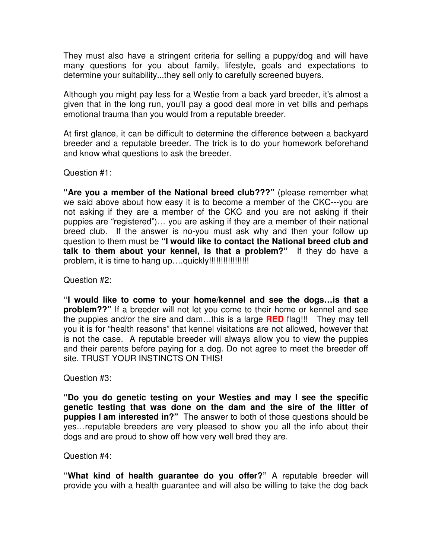They must also have a stringent criteria for selling a puppy/dog and will have many questions for you about family, lifestyle, goals and expectations to determine your suitability...they sell only to carefully screened buyers.

Although you might pay less for a Westie from a back yard breeder, it's almost a given that in the long run, you'll pay a good deal more in vet bills and perhaps emotional trauma than you would from a reputable breeder.

At first glance, it can be difficult to determine the difference between a backyard breeder and a reputable breeder. The trick is to do your homework beforehand and know what questions to ask the breeder.

Question #1:

**"Are you a member of the National breed club???"** (please remember what we said above about how easy it is to become a member of the CKC---you are not asking if they are a member of the CKC and you are not asking if their puppies are "registered")… you are asking if they are a member of their national breed club. If the answer is no-you must ask why and then your follow up question to them must be **"I would like to contact the National breed club and talk to them about your kennel, is that a problem?"** If they do have a problem, it is time to hang up....quickly!!!!!!!!!!!!!!!!!!!

Question #2:

**"I would like to come to your home/kennel and see the dogs…is that a problem??"** If a breeder will not let you come to their home or kennel and see the puppies and/or the sire and dam…this is a large **RED** flag!!! They may tell you it is for "health reasons" that kennel visitations are not allowed, however that is not the case. A reputable breeder will always allow you to view the puppies and their parents before paying for a dog. Do not agree to meet the breeder off site. TRUST YOUR INSTINCTS ON THIS!

Question #3:

**"Do you do genetic testing on your Westies and may I see the specific genetic testing that was done on the dam and the sire of the litter of puppies I am interested in?"** The answer to both of those questions should be yes…reputable breeders are very pleased to show you all the info about their dogs and are proud to show off how very well bred they are.

Question #4:

**"What kind of health guarantee do you offer?"** A reputable breeder will provide you with a health guarantee and will also be willing to take the dog back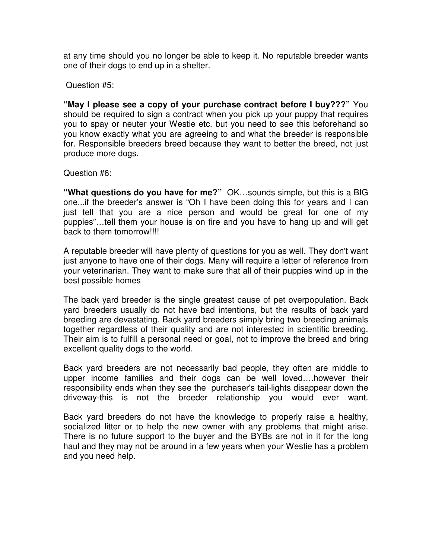at any time should you no longer be able to keep it. No reputable breeder wants one of their dogs to end up in a shelter.

Question #5:

**"May I please see a copy of your purchase contract before I buy???"** You should be required to sign a contract when you pick up your puppy that requires you to spay or neuter your Westie etc. but you need to see this beforehand so you know exactly what you are agreeing to and what the breeder is responsible for. Responsible breeders breed because they want to better the breed, not just produce more dogs.

Question #6:

**"What questions do you have for me?"** OK…sounds simple, but this is a BIG one...if the breeder's answer is "Oh I have been doing this for years and I can just tell that you are a nice person and would be great for one of my puppies"…tell them your house is on fire and you have to hang up and will get back to them tomorrow!!!!

A reputable breeder will have plenty of questions for you as well. They don't want just anyone to have one of their dogs. Many will require a letter of reference from your veterinarian. They want to make sure that all of their puppies wind up in the best possible homes

The back yard breeder is the single greatest cause of pet overpopulation. Back yard breeders usually do not have bad intentions, but the results of back yard breeding are devastating. Back yard breeders simply bring two breeding animals together regardless of their quality and are not interested in scientific breeding. Their aim is to fulfill a personal need or goal, not to improve the breed and bring excellent quality dogs to the world.

Back yard breeders are not necessarily bad people, they often are middle to upper income families and their dogs can be well loved….however their responsibility ends when they see the purchaser's tail-lights disappear down the driveway-this is not the breeder relationship you would ever want.

Back yard breeders do not have the knowledge to properly raise a healthy, socialized litter or to help the new owner with any problems that might arise. There is no future support to the buyer and the BYBs are not in it for the long haul and they may not be around in a few years when your Westie has a problem and you need help.